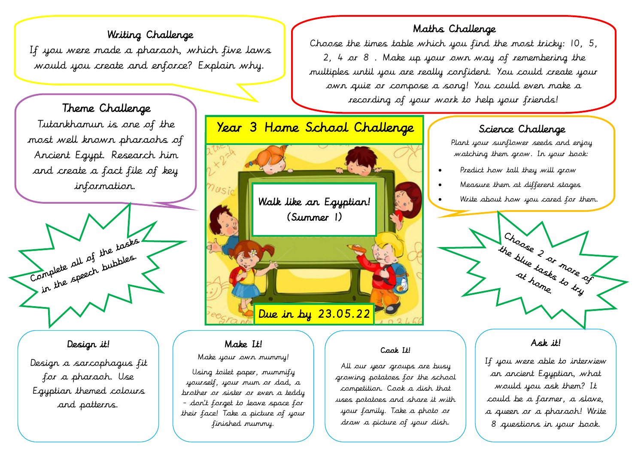# Writing Challenge If you were made a pharaoh, which five laws would you create and enforce? Explain why.

### Theme Challenge

Tutankhamun is one of the most well known pharaohs of Ancient Egypt. Research him and create a fact file of key information.



#### Design it!

Design a sarcophagus fit for a pharaoh. Use Egyptian themed colours and patterns.

# Walk like an Egyptian! (Summer 1) Year 3 Home School Challenge Due in by 23.05.22

## Make It!

#### Make your own mummy!

Using toilet paper, mummify yourself, your mum or dad, a brother or sister or even a teddy - don't forget to leave space for their face! Take a picture of your finished mummy.

## Maths Challenge

Choose the times table which you find the most tricky: 10, 5, 2, 4 or 8 . Make up your own way of remembering the multiples until you are really confident. You could create your own quiz or compose a song! You could even make a recording of your work to help your friends!

## Science Challenge

Plant your sunflower seeds and enjoy watching them grow. In your book:

- Predict how tall they will grow
- Measure them at different stages
- Write about how you cared for them.



#### Cook It!

All our year groups are busy growing potatoes for the school competition. Cook a dish that uses potatoes and share it with your family. Take a photo or draw a picture of your dish.

#### Ask it!

If you were able to interview an ancient Egyptian, what would you ask them? It could be a farmer, a slave, a queen or a pharaoh! Write 8 questions in your book.